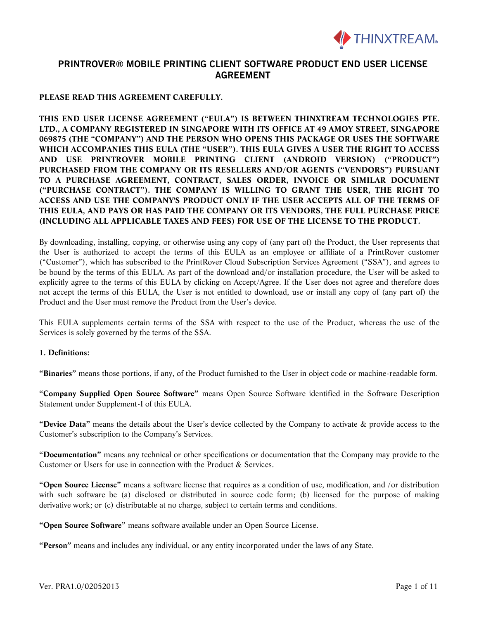

### **PLEASE READ THIS AGREEMENT CAREFULLY.**

**THIS END USER LICENSE AGREEMENT ("EULA") IS BETWEEN THINXTREAM TECHNOLOGIES PTE. LTD., A COMPANY REGISTERED IN SINGAPORE WITH ITS OFFICE AT 49 AMOY STREET, SINGAPORE 069875 (THE "COMPANY") AND THE PERSON WHO OPENS THIS PACKAGE OR USES THE SOFTWARE WHICH ACCOMPANIES THIS EULA (THE "USER"). THIS EULA GIVES A USER THE RIGHT TO ACCESS AND USE PRINTROVER MOBILE PRINTING CLIENT (ANDROID VERSION) ("PRODUCT") PURCHASED FROM THE COMPANY OR ITS RESELLERS AND/OR AGENTS ("VENDORS") PURSUANT TO A PURCHASE AGREEMENT, CONTRACT, SALES ORDER, INVOICE OR SIMILAR DOCUMENT ("PURCHASE CONTRACT"). THE COMPANY IS WILLING TO GRANT THE USER, THE RIGHT TO ACCESS AND USE THE COMPANY'S PRODUCT ONLY IF THE USER ACCEPTS ALL OF THE TERMS OF THIS EULA, AND PAYS OR HAS PAID THE COMPANY OR ITS VENDORS, THE FULL PURCHASE PRICE (INCLUDING ALL APPLICABLE TAXES AND FEES) FOR USE OF THE LICENSE TO THE PRODUCT.**

By downloading, installing, copying, or otherwise using any copy of (any part of) the Product, the User represents that the User is authorized to accept the terms of this EULA as an employee or affiliate of a PrintRover customer ("Customer"), which has subscribed to the PrintRover Cloud Subscription Services Agreement ("SSA"), and agrees to be bound by the terms of this EULA. As part of the download and/or installation procedure, the User will be asked to explicitly agree to the terms of this EULA by clicking on Accept/Agree. If the User does not agree and therefore does not accept the terms of this EULA, the User is not entitled to download, use or install any copy of (any part of) the Product and the User must remove the Product from the User's device.

This EULA supplements certain terms of the SSA with respect to the use of the Product, whereas the use of the Services is solely governed by the terms of the SSA.

#### **1. Definitions:**

**"Binaries"** means those portions, if any, of the Product furnished to the User in object code or machine-readable form.

**"Company Supplied Open Source Software"** means Open Source Software identified in the Software Description Statement under Supplement-I of this EULA.

**"Device Data"** means the details about the User's device collected by the Company to activate & provide access to the Customer's subscription to the Company's Services.

**"Documentation"** means any technical or other specifications or documentation that the Company may provide to the Customer or Users for use in connection with the Product & Services.

**"Open Source License"** means a software license that requires as a condition of use, modification, and /or distribution with such software be (a) disclosed or distributed in source code form; (b) licensed for the purpose of making derivative work; or (c) distributable at no charge, subject to certain terms and conditions.

**"Open Source Software"** means software available under an Open Source License.

**"Person"** means and includes any individual, or any entity incorporated under the laws of any State.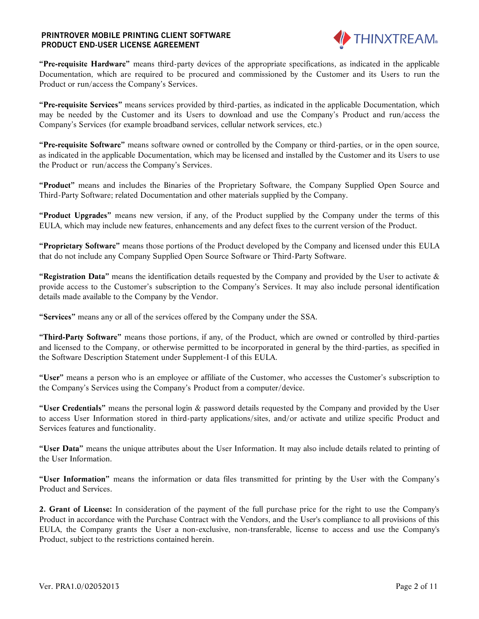

**"Pre-requisite Hardware"** means third-party devices of the appropriate specifications, as indicated in the applicable Documentation, which are required to be procured and commissioned by the Customer and its Users to run the Product or run/access the Company's Services.

**"Pre-requisite Services"** means services provided by third-parties, as indicated in the applicable Documentation, which may be needed by the Customer and its Users to download and use the Company's Product and run/access the Company's Services (for example broadband services, cellular network services, etc.)

**"Pre-requisite Software"** means software owned or controlled by the Company or third-parties, or in the open source, as indicated in the applicable Documentation, which may be licensed and installed by the Customer and its Users to use the Product or run/access the Company's Services.

**"Product"** means and includes the Binaries of the Proprietary Software, the Company Supplied Open Source and Third-Party Software; related Documentation and other materials supplied by the Company.

**"Product Upgrades"** means new version, if any, of the Product supplied by the Company under the terms of this EULA, which may include new features, enhancements and any defect fixes to the current version of the Product.

**"Proprietary Software"** means those portions of the Product developed by the Company and licensed under this EULA that do not include any Company Supplied Open Source Software or Third-Party Software.

**"Registration Data"** means the identification details requested by the Company and provided by the User to activate & provide access to the Customer's subscription to the Company's Services. It may also include personal identification details made available to the Company by the Vendor.

**"Services"** means any or all of the services offered by the Company under the SSA.

**"Third-Party Software"** means those portions, if any, of the Product, which are owned or controlled by third-parties and licensed to the Company, or otherwise permitted to be incorporated in general by the third-parties, as specified in the Software Description Statement under Supplement-I of this EULA.

**"User"** means a person who is an employee or affiliate of the Customer, who accesses the Customer's subscription to the Company's Services using the Company's Product from a computer/device.

**"User Credentials"** means the personal login & password details requested by the Company and provided by the User to access User Information stored in third-party applications/sites, and/or activate and utilize specific Product and Services features and functionality.

**"User Data"** means the unique attributes about the User Information. It may also include details related to printing of the User Information.

**"User Information"** means the information or data files transmitted for printing by the User with the Company's Product and Services.

**2. Grant of License:** In consideration of the payment of the full purchase price for the right to use the Company's Product in accordance with the Purchase Contract with the Vendors, and the User's compliance to all provisions of this EULA, the Company grants the User a non-exclusive, non-transferable, license to access and use the Company's Product, subject to the restrictions contained herein.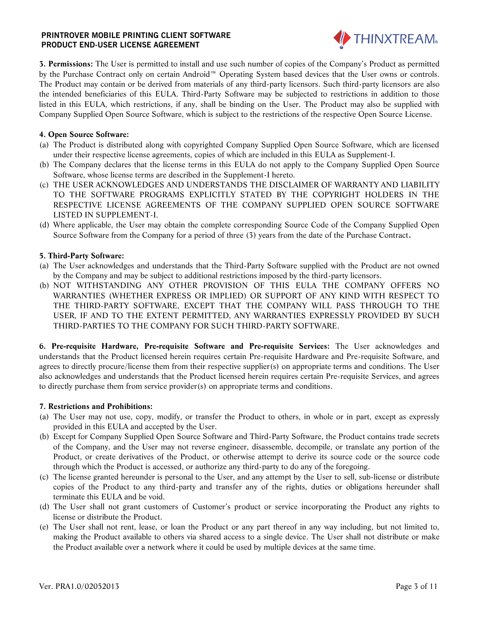

**3. Permissions:** The User is permitted to install and use such number of copies of the Company's Product as permitted by the Purchase Contract only on certain Android™ Operating System based devices that the User owns or controls. The Product may contain or be derived from materials of any third-party licensors. Such third-party licensors are also the intended beneficiaries of this EULA. Third-Party Software may be subjected to restrictions in addition to those listed in this EULA, which restrictions, if any, shall be binding on the User. The Product may also be supplied with Company Supplied Open Source Software, which is subject to the restrictions of the respective Open Source License.

#### **4. Open Source Software:**

- (a) The Product is distributed along with copyrighted Company Supplied Open Source Software, which are licensed under their respective license agreements, copies of which are included in this EULA as Supplement-I.
- (b) The Company declares that the license terms in this EULA do not apply to the Company Supplied Open Source Software, whose license terms are described in the Supplement-I hereto.
- (c) THE USER ACKNOWLEDGES AND UNDERSTANDS THE DISCLAIMER OF WARRANTY AND LIABILITY TO THE SOFTWARE PROGRAMS EXPLICITLY STATED BY THE COPYRIGHT HOLDERS IN THE RESPECTIVE LICENSE AGREEMENTS OF THE COMPANY SUPPLIED OPEN SOURCE SOFTWARE LISTED IN SUPPLEMENT-I.
- (d) Where applicable, the User may obtain the complete corresponding Source Code of the Company Supplied Open Source Software from the Company for a period of three (3) years from the date of the Purchase Contract**.**

### **5. Third-Party Software:**

- (a) The User acknowledges and understands that the Third-Party Software supplied with the Product are not owned by the Company and may be subject to additional restrictions imposed by the third-party licensors.
- (b) NOT WITHSTANDING ANY OTHER PROVISION OF THIS EULA THE COMPANY OFFERS NO WARRANTIES (WHETHER EXPRESS OR IMPLIED) OR SUPPORT OF ANY KIND WITH RESPECT TO THE THIRD-PARTY SOFTWARE, EXCEPT THAT THE COMPANY WILL PASS THROUGH TO THE USER, IF AND TO THE EXTENT PERMITTED, ANY WARRANTIES EXPRESSLY PROVIDED BY SUCH THIRD-PARTIES TO THE COMPANY FOR SUCH THIRD-PARTY SOFTWARE.

**6. Pre-requisite Hardware, Pre-requisite Software and Pre-requisite Services:** The User acknowledges and understands that the Product licensed herein requires certain Pre-requisite Hardware and Pre-requisite Software, and agrees to directly procure/license them from their respective supplier(s) on appropriate terms and conditions. The User also acknowledges and understands that the Product licensed herein requires certain Pre-requisite Services, and agrees to directly purchase them from service provider(s) on appropriate terms and conditions.

#### **7. Restrictions and Prohibitions:**

- (a) The User may not use, copy, modify, or transfer the Product to others, in whole or in part, except as expressly provided in this EULA and accepted by the User.
- (b) Except for Company Supplied Open Source Software and Third-Party Software, the Product contains trade secrets of the Company, and the User may not reverse engineer, disassemble, decompile, or translate any portion of the Product, or create derivatives of the Product, or otherwise attempt to derive its source code or the source code through which the Product is accessed, or authorize any third-party to do any of the foregoing.
- (c) The license granted hereunder is personal to the User, and any attempt by the User to sell, sub-license or distribute copies of the Product to any third-party and transfer any of the rights, duties or obligations hereunder shall terminate this EULA and be void.
- (d) The User shall not grant customers of Customer's product or service incorporating the Product any rights to license or distribute the Product.
- (e) The User shall not rent, lease, or loan the Product or any part thereof in any way including, but not limited to, making the Product available to others via shared access to a single device. The User shall not distribute or make the Product available over a network where it could be used by multiple devices at the same time.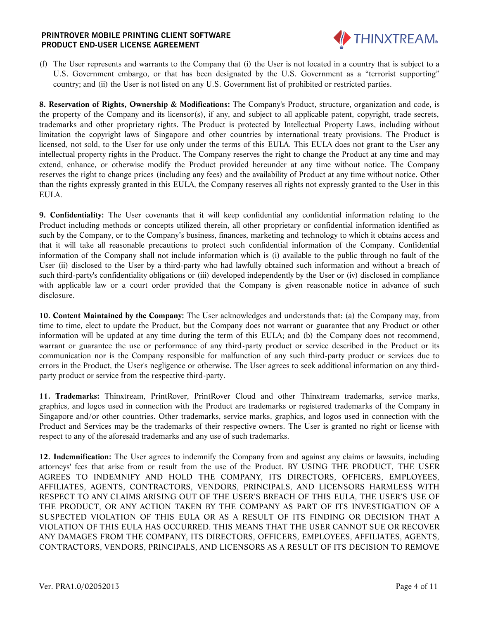

(f) The User represents and warrants to the Company that (i) the User is not located in a country that is subject to a U.S. Government embargo, or that has been designated by the U.S. Government as a "terrorist supporting" country; and (ii) the User is not listed on any U.S. Government list of prohibited or restricted parties.

**8. Reservation of Rights, Ownership & Modifications:** The Company's Product, structure, organization and code, is the property of the Company and its licensor(s), if any, and subject to all applicable patent, copyright, trade secrets, trademarks and other proprietary rights. The Product is protected by Intellectual Property Laws, including without limitation the copyright laws of Singapore and other countries by international treaty provisions. The Product is licensed, not sold, to the User for use only under the terms of this EULA. This EULA does not grant to the User any intellectual property rights in the Product. The Company reserves the right to change the Product at any time and may extend, enhance, or otherwise modify the Product provided hereunder at any time without notice. The Company reserves the right to change prices (including any fees) and the availability of Product at any time without notice. Other than the rights expressly granted in this EULA, the Company reserves all rights not expressly granted to the User in this EULA.

**9. Confidentiality:** The User covenants that it will keep confidential any confidential information relating to the Product including methods or concepts utilized therein, all other proprietary or confidential information identified as such by the Company, or to the Company's business, finances, marketing and technology to which it obtains access and that it will take all reasonable precautions to protect such confidential information of the Company. Confidential information of the Company shall not include information which is (i) available to the public through no fault of the User (ii) disclosed to the User by a third-party who had lawfully obtained such information and without a breach of such third-party's confidentiality obligations or (iii) developed independently by the User or (iv) disclosed in compliance with applicable law or a court order provided that the Company is given reasonable notice in advance of such disclosure.

**10. Content Maintained by the Company:** The User acknowledges and understands that: (a) the Company may, from time to time, elect to update the Product, but the Company does not warrant or guarantee that any Product or other information will be updated at any time during the term of this EULA; and (b) the Company does not recommend, warrant or guarantee the use or performance of any third-party product or service described in the Product or its communication nor is the Company responsible for malfunction of any such third-party product or services due to errors in the Product, the User's negligence or otherwise. The User agrees to seek additional information on any thirdparty product or service from the respective third-party.

**11. Trademarks:** Thinxtream, PrintRover, PrintRover Cloud and other Thinxtream trademarks, service marks, graphics, and logos used in connection with the Product are trademarks or registered trademarks of the Company in Singapore and/or other countries. Other trademarks, service marks, graphics, and logos used in connection with the Product and Services may be the trademarks of their respective owners. The User is granted no right or license with respect to any of the aforesaid trademarks and any use of such trademarks.

**12. Indemnification:** The User agrees to indemnify the Company from and against any claims or lawsuits, including attorneys' fees that arise from or result from the use of the Product. BY USING THE PRODUCT, THE USER AGREES TO INDEMNIFY AND HOLD THE COMPANY, ITS DIRECTORS, OFFICERS, EMPLOYEES, AFFILIATES, AGENTS, CONTRACTORS, VENDORS, PRINCIPALS, AND LICENSORS HARMLESS WITH RESPECT TO ANY CLAIMS ARISING OUT OF THE USER'S BREACH OF THIS EULA, THE USER'S USE OF THE PRODUCT, OR ANY ACTION TAKEN BY THE COMPANY AS PART OF ITS INVESTIGATION OF A SUSPECTED VIOLATION OF THIS EULA OR AS A RESULT OF ITS FINDING OR DECISION THAT A VIOLATION OF THIS EULA HAS OCCURRED. THIS MEANS THAT THE USER CANNOT SUE OR RECOVER ANY DAMAGES FROM THE COMPANY, ITS DIRECTORS, OFFICERS, EMPLOYEES, AFFILIATES, AGENTS, CONTRACTORS, VENDORS, PRINCIPALS, AND LICENSORS AS A RESULT OF ITS DECISION TO REMOVE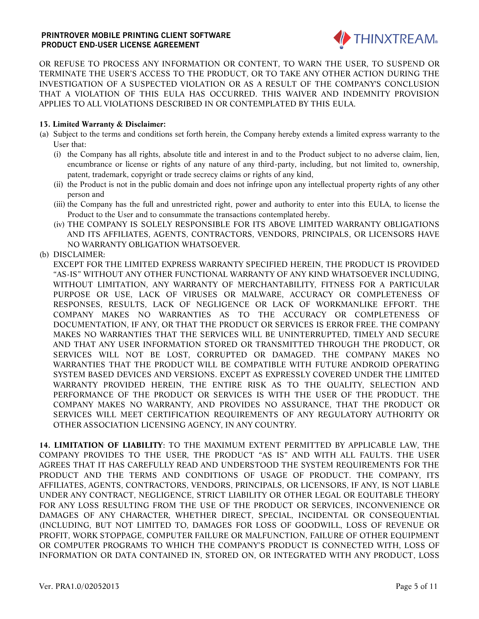

OR REFUSE TO PROCESS ANY INFORMATION OR CONTENT, TO WARN THE USER, TO SUSPEND OR TERMINATE THE USER'S ACCESS TO THE PRODUCT, OR TO TAKE ANY OTHER ACTION DURING THE INVESTIGATION OF A SUSPECTED VIOLATION OR AS A RESULT OF THE COMPANY'S CONCLUSION THAT A VIOLATION OF THIS EULA HAS OCCURRED. THIS WAIVER AND INDEMNITY PROVISION APPLIES TO ALL VIOLATIONS DESCRIBED IN OR CONTEMPLATED BY THIS EULA.

## **13. Limited Warranty & Disclaimer:**

- (a) Subject to the terms and conditions set forth herein, the Company hereby extends a limited express warranty to the User that:
	- (i) the Company has all rights, absolute title and interest in and to the Product subject to no adverse claim, lien, encumbrance or license or rights of any nature of any third-party, including, but not limited to, ownership, patent, trademark, copyright or trade secrecy claims or rights of any kind,
	- (ii) the Product is not in the public domain and does not infringe upon any intellectual property rights of any other person and
	- (iii) the Company has the full and unrestricted right, power and authority to enter into this EULA, to license the Product to the User and to consummate the transactions contemplated hereby.
	- (iv) THE COMPANY IS SOLELY RESPONSIBLE FOR ITS ABOVE LIMITED WARRANTY OBLIGATIONS AND ITS AFFILIATES, AGENTS, CONTRACTORS, VENDORS, PRINCIPALS, OR LICENSORS HAVE NO WARRANTY OBLIGATION WHATSOEVER.
- (b) DISCLAIMER:

EXCEPT FOR THE LIMITED EXPRESS WARRANTY SPECIFIED HEREIN, THE PRODUCT IS PROVIDED "AS-IS" WITHOUT ANY OTHER FUNCTIONAL WARRANTY OF ANY KIND WHATSOEVER INCLUDING, WITHOUT LIMITATION, ANY WARRANTY OF MERCHANTABILITY, FITNESS FOR A PARTICULAR PURPOSE OR USE, LACK OF VIRUSES OR MALWARE, ACCURACY OR COMPLETENESS OF RESPONSES, RESULTS, LACK OF NEGLIGENCE OR LACK OF WORKMANLIKE EFFORT. THE COMPANY MAKES NO WARRANTIES AS TO THE ACCURACY OR COMPLETENESS OF DOCUMENTATION, IF ANY, OR THAT THE PRODUCT OR SERVICES IS ERROR FREE. THE COMPANY MAKES NO WARRANTIES THAT THE SERVICES WILL BE UNINTERRUPTED, TIMELY AND SECURE AND THAT ANY USER INFORMATION STORED OR TRANSMITTED THROUGH THE PRODUCT, OR SERVICES WILL NOT BE LOST, CORRUPTED OR DAMAGED. THE COMPANY MAKES NO WARRANTIES THAT THE PRODUCT WILL BE COMPATIBLE WITH FUTURE ANDROID OPERATING SYSTEM BASED DEVICES AND VERSIONS. EXCEPT AS EXPRESSLY COVERED UNDER THE LIMITED WARRANTY PROVIDED HEREIN, THE ENTIRE RISK AS TO THE QUALITY, SELECTION AND PERFORMANCE OF THE PRODUCT OR SERVICES IS WITH THE USER OF THE PRODUCT. THE COMPANY MAKES NO WARRANTY, AND PROVIDES NO ASSURANCE, THAT THE PRODUCT OR SERVICES WILL MEET CERTIFICATION REQUIREMENTS OF ANY REGULATORY AUTHORITY OR OTHER ASSOCIATION LICENSING AGENCY, IN ANY COUNTRY.

**14. LIMITATION OF LIABILITY**: TO THE MAXIMUM EXTENT PERMITTED BY APPLICABLE LAW, THE COMPANY PROVIDES TO THE USER, THE PRODUCT "AS IS" AND WITH ALL FAULTS. THE USER AGREES THAT IT HAS CAREFULLY READ AND UNDERSTOOD THE SYSTEM REQUIREMENTS FOR THE PRODUCT AND THE TERMS AND CONDITIONS OF USAGE OF PRODUCT. THE COMPANY, ITS AFFILIATES, AGENTS, CONTRACTORS, VENDORS, PRINCIPALS, OR LICENSORS, IF ANY, IS NOT LIABLE UNDER ANY CONTRACT, NEGLIGENCE, STRICT LIABILITY OR OTHER LEGAL OR EQUITABLE THEORY FOR ANY LOSS RESULTING FROM THE USE OF THE PRODUCT OR SERVICES, INCONVENIENCE OR DAMAGES OF ANY CHARACTER, WHETHER DIRECT, SPECIAL, INCIDENTAL OR CONSEQUENTIAL (INCLUDING, BUT NOT LIMITED TO, DAMAGES FOR LOSS OF GOODWILL, LOSS OF REVENUE OR PROFIT, WORK STOPPAGE, COMPUTER FAILURE OR MALFUNCTION, FAILURE OF OTHER EQUIPMENT OR COMPUTER PROGRAMS TO WHICH THE COMPANY'S PRODUCT IS CONNECTED WITH, LOSS OF INFORMATION OR DATA CONTAINED IN, STORED ON, OR INTEGRATED WITH ANY PRODUCT, LOSS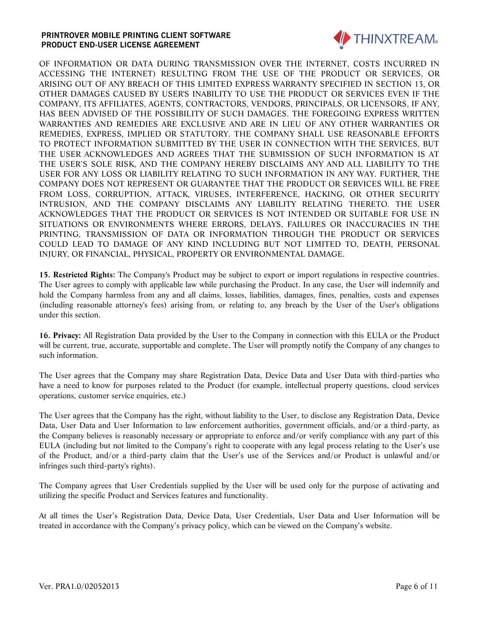

OF INFORMATION OR DATA DURING TRANSMISSION OVER THE INTERNET, COSTS INCURRED IN ACCESSING THE INTERNET) RESULTING FROM THE USE OF THE PRODUCT OR SERVICES, OR ARISING OUT OF ANY BREACH OF THIS LIMITED EXPRESS WARRANTY SPECIFIED IN SECTION 13, OR OTHER DAMAGES CAUSED BY USER'S INABILITY TO USE THE PRODUCT OR SERVICES EVEN IF THE COMPANY, ITS AFFILIATES, AGENTS, CONTRACTORS, VENDORS, PRINCIPALS, OR LICENSORS, IF ANY, HAS BEEN ADVISED OF THE POSSIBILITY OF SUCH DAMAGES. THE FOREGOING EXPRESS WRITTEN WARRANTIES AND REMEDIES ARE EXCLUSIVE AND ARE IN LIEU OF ANY OTHER WARRANTIES OR REMEDIES, EXPRESS, IMPLIED OR STATUTORY. THE COMPANY SHALL USE REASONABLE EFFORTS TO PROTECT INFORMATION SUBMITTED BY THE USER IN CONNECTION WITH THE SERVICES, BUT THE USER ACKNOWLEDGES AND AGREES THAT THE SUBMISSION OF SUCH INFORMATION IS AT THE USER'S SOLE RISK, AND THE COMPANY HEREBY DISCLAIMS ANY AND ALL LIABILITY TO THE USER FOR ANY LOSS OR LIABILITY RELATING TO SUCH INFORMATION IN ANY WAY. FURTHER, THE COMPANY DOES NOT REPRESENT OR GUARANTEE THAT THE PRODUCT OR SERVICES WILL BE FREE FROM LOSS, CORRUPTION, ATTACK, VIRUSES, INTERFERENCE, HACKING, OR OTHER SECURITY INTRUSION, AND THE COMPANY DISCLAIMS ANY LIABILITY RELATING THERETO. THE USER ACKNOWLEDGES THAT THE PRODUCT OR SERVICES IS NOT INTENDED OR SUITABLE FOR USE IN SITUATIONS OR ENVIRONMENTS WHERE ERRORS, DELAYS, FAILURES OR INACCURACIES IN THE PRINTING, TRANSMISSION OF DATA OR INFORMATION THROUGH THE PRODUCT OR SERVICES COULD LEAD TO DAMAGE OF ANY KIND INCLUDING BUT NOT LIMITED TO, DEATH, PERSONAL INJURY, OR FINANCIAL, PHYSICAL, PROPERTY OR ENVIRONMENTAL DAMAGE.

**15. Restricted Rights:** The Company's Product may be subject to export or import regulations in respective countries. The User agrees to comply with applicable law while purchasing the Product. In any case, the User will indemnify and hold the Company harmless from any and all claims, losses, liabilities, damages, fines, penalties, costs and expenses (including reasonable attorney's fees) arising from, or relating to, any breach by the User of the User's obligations under this section.

**16. Privacy:** All Registration Data provided by the User to the Company in connection with this EULA or the Product will be current, true, accurate, supportable and complete. The User will promptly notify the Company of any changes to such information.

The User agrees that the Company may share Registration Data, Device Data and User Data with third-parties who have a need to know for purposes related to the Product (for example, intellectual property questions, cloud services operations, customer service enquiries, etc.)

The User agrees that the Company has the right, without liability to the User, to disclose any Registration Data, Device Data, User Data and User Information to law enforcement authorities, government officials, and/or a third-party, as the Company believes is reasonably necessary or appropriate to enforce and/or verify compliance with any part of this EULA (including but not limited to the Company's right to cooperate with any legal process relating to the User's use of the Product, and/or a third-party claim that the User's use of the Services and/or Product is unlawful and/or infringes such third-party's rights).

The Company agrees that User Credentials supplied by the User will be used only for the purpose of activating and utilizing the specific Product and Services features and functionality.

At all times the User's Registration Data, Device Data, User Credentials, User Data and User Information will be treated in accordance with the Company's privacy policy, which can be viewed on the Company's website.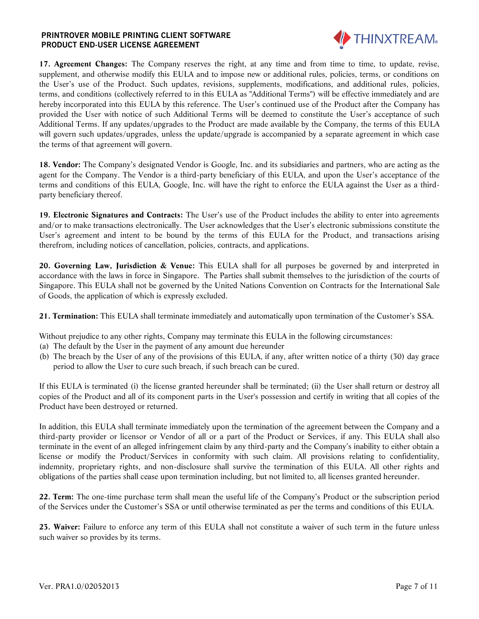

**17. Agreement Changes:** The Company reserves the right, at any time and from time to time, to update, revise, supplement, and otherwise modify this EULA and to impose new or additional rules, policies, terms, or conditions on the User's use of the Product. Such updates, revisions, supplements, modifications, and additional rules, policies, terms, and conditions (collectively referred to in this EULA as "Additional Terms") will be effective immediately and are hereby incorporated into this EULA by this reference. The User's continued use of the Product after the Company has provided the User with notice of such Additional Terms will be deemed to constitute the User's acceptance of such Additional Terms. If any updates/upgrades to the Product are made available by the Company, the terms of this EULA will govern such updates/upgrades, unless the update/upgrade is accompanied by a separate agreement in which case the terms of that agreement will govern.

**18. Vendor:** The Company's designated Vendor is Google, Inc. and its subsidiaries and partners, who are acting as the agent for the Company. The Vendor is a third-party beneficiary of this EULA, and upon the User's acceptance of the terms and conditions of this EULA, Google, Inc. will have the right to enforce the EULA against the User as a thirdparty beneficiary thereof.

**19. Electronic Signatures and Contracts:** The User's use of the Product includes the ability to enter into agreements and/or to make transactions electronically. The User acknowledges that the User's electronic submissions constitute the User's agreement and intent to be bound by the terms of this EULA for the Product, and transactions arising therefrom, including notices of cancellation, policies, contracts, and applications.

**20. Governing Law, Jurisdiction & Venue:** This EULA shall for all purposes be governed by and interpreted in accordance with the laws in force in Singapore. The Parties shall submit themselves to the jurisdiction of the courts of Singapore. This EULA shall not be governed by the United Nations Convention on Contracts for the International Sale of Goods, the application of which is expressly excluded.

**21. Termination:** This EULA shall terminate immediately and automatically upon termination of the Customer's SSA.

Without prejudice to any other rights, Company may terminate this EULA in the following circumstances:

- (a) The default by the User in the payment of any amount due hereunder
- (b) The breach by the User of any of the provisions of this EULA, if any, after written notice of a thirty (30) day grace period to allow the User to cure such breach, if such breach can be cured.

If this EULA is terminated (i) the license granted hereunder shall be terminated; (ii) the User shall return or destroy all copies of the Product and all of its component parts in the User's possession and certify in writing that all copies of the Product have been destroyed or returned.

In addition, this EULA shall terminate immediately upon the termination of the agreement between the Company and a third-party provider or licensor or Vendor of all or a part of the Product or Services, if any. This EULA shall also terminate in the event of an alleged infringement claim by any third-party and the Company's inability to either obtain a license or modify the Product/Services in conformity with such claim. All provisions relating to confidentiality, indemnity, proprietary rights, and non-disclosure shall survive the termination of this EULA. All other rights and obligations of the parties shall cease upon termination including, but not limited to, all licenses granted hereunder.

**22. Term:** The one-time purchase term shall mean the useful life of the Company's Product or the subscription period of the Services under the Customer's SSA or until otherwise terminated as per the terms and conditions of this EULA.

**23. Waiver:** Failure to enforce any term of this EULA shall not constitute a waiver of such term in the future unless such waiver so provides by its terms.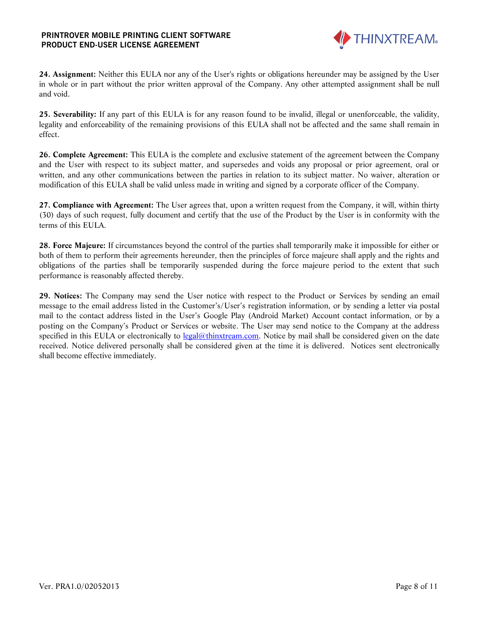

**24. Assignment:** Neither this EULA nor any of the User's rights or obligations hereunder may be assigned by the User in whole or in part without the prior written approval of the Company. Any other attempted assignment shall be null and void.

**25. Severability:** If any part of this EULA is for any reason found to be invalid, illegal or unenforceable, the validity, legality and enforceability of the remaining provisions of this EULA shall not be affected and the same shall remain in effect.

**26. Complete Agreement:** This EULA is the complete and exclusive statement of the agreement between the Company and the User with respect to its subject matter, and supersedes and voids any proposal or prior agreement, oral or written, and any other communications between the parties in relation to its subject matter. No waiver, alteration or modification of this EULA shall be valid unless made in writing and signed by a corporate officer of the Company.

**27. Compliance with Agreement:** The User agrees that, upon a written request from the Company, it will, within thirty (30) days of such request, fully document and certify that the use of the Product by the User is in conformity with the terms of this EULA.

**28. Force Majeure:** If circumstances beyond the control of the parties shall temporarily make it impossible for either or both of them to perform their agreements hereunder, then the principles of force majeure shall apply and the rights and obligations of the parties shall be temporarily suspended during the force majeure period to the extent that such performance is reasonably affected thereby.

**29. Notices:** The Company may send the User notice with respect to the Product or Services by sending an email message to the email address listed in the Customer's/User's registration information, or by sending a letter via postal mail to the contact address listed in the User's Google Play (Android Market) Account contact information, or by a posting on the Company's Product or Services or website. The User may send notice to the Company at the address specified in this EULA or electronically to [legal@thinxtream.com.](file:///D:/My%20Documents/Marketing/Agreements/SW%20Product%20License%20Agreements/Download%20Version/PR/legal@thinxtream.com) Notice by mail shall be considered given on the date received. Notice delivered personally shall be considered given at the time it is delivered. Notices sent electronically shall become effective immediately.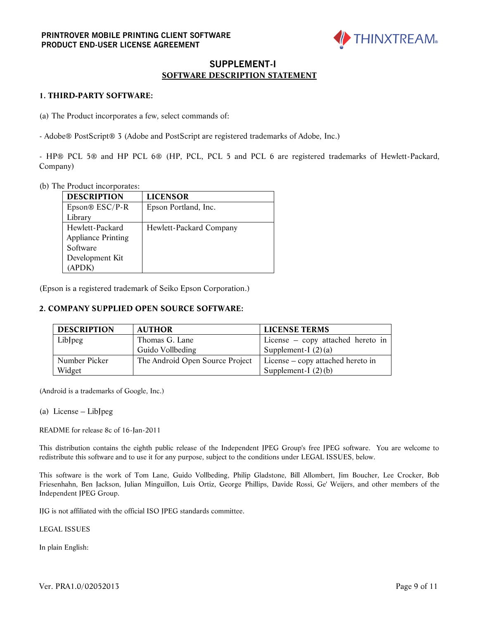

# **SUPPLEMENT-I SOFTWARE DESCRIPTION STATEMENT**

#### **1. THIRD-PARTY SOFTWARE:**

(a) The Product incorporates a few, select commands of:

- Adobe® PostScript® 3 (Adobe and PostScript are registered trademarks of Adobe, Inc.)

- HP® PCL 5® and HP PCL 6® (HP, PCL, PCL 5 and PCL 6 are registered trademarks of Hewlett-Packard, Company)

#### (b) The Product incorporates:

| <b>DESCRIPTION</b>        | <b>LICENSOR</b>         |
|---------------------------|-------------------------|
| Epson® ESC/P-R            | Epson Portland, Inc.    |
| Library                   |                         |
| Hewlett-Packard           | Hewlett-Packard Company |
| <b>Appliance Printing</b> |                         |
| Software                  |                         |
| Development Kit           |                         |
| APDK)                     |                         |

(Epson is a registered trademark of Seiko Epson Corporation.)

#### **2. COMPANY SUPPLIED OPEN SOURCE SOFTWARE:**

| <b>DESCRIPTION</b> | <b>AUTHOR</b>                   | <b>LICENSE TERMS</b>              |
|--------------------|---------------------------------|-----------------------------------|
| LibJpeg            | Thomas G. Lane                  | License – copy attached hereto in |
|                    | Guido Vollbeding                | Supplement-I $(2)(a)$             |
| Number Picker      | The Android Open Source Project | License – copy attached hereto in |
| Widget             |                                 | Supplement-I $(2)(b)$             |

(Android is a trademarks of Google, Inc.)

(a) License – LibJpeg

README for release 8c of 16-Jan-2011

This distribution contains the eighth public release of the Independent JPEG Group's free JPEG software. You are welcome to redistribute this software and to use it for any purpose, subject to the conditions under LEGAL ISSUES, below.

This software is the work of Tom Lane, Guido Vollbeding, Philip Gladstone, Bill Allombert, Jim Boucher, Lee Crocker, Bob Friesenhahn, Ben Jackson, Julian Minguillon, Luis Ortiz, George Phillips, Davide Rossi, Ge' Weijers, and other members of the Independent JPEG Group.

IJG is not affiliated with the official ISO JPEG standards committee.

LEGAL ISSUES

In plain English: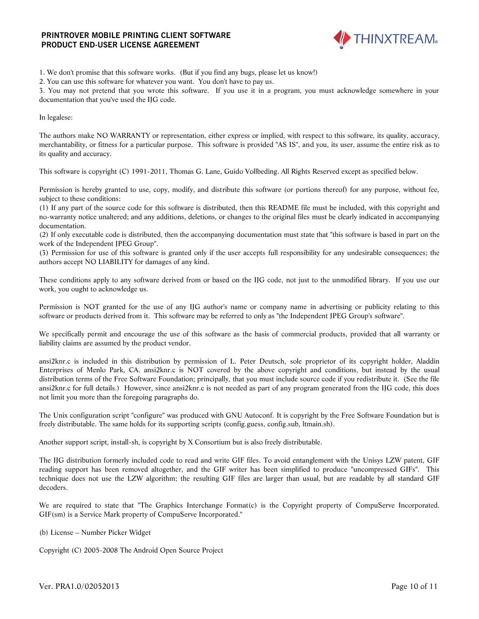

1. We don't promise that this software works. (But if you find any bugs, please let us know!)

2. You can use this software for whatever you want. You don't have to pay us.

3. You may not pretend that you wrote this software. If you use it in a program, you must acknowledge somewhere in your documentation that you've used the IJG code.

#### In legalese:

The authors make NO WARRANTY or representation, either express or implied, with respect to this software, its quality, accuracy, merchantability, or fitness for a particular purpose. This software is provided "AS IS", and you, its user, assume the entire risk as to its quality and accuracy.

This software is copyright (C) 1991-2011, Thomas G. Lane, Guido Vollbeding. All Rights Reserved except as specified below.

Permission is hereby granted to use, copy, modify, and distribute this software (or portions thereof) for any purpose, without fee, subject to these conditions:

(1) If any part of the source code for this software is distributed, then this README file must be included, with this copyright and no-warranty notice unaltered; and any additions, deletions, or changes to the original files must be clearly indicated in accompanying documentation.

(2) If only executable code is distributed, then the accompanying documentation must state that "this software is based in part on the work of the Independent JPEG Group".

(3) Permission for use of this software is granted only if the user accepts full responsibility for any undesirable consequences; the authors accept NO LIABILITY for damages of any kind.

These conditions apply to any software derived from or based on the IJG code, not just to the unmodified library. If you use our work, you ought to acknowledge us.

Permission is NOT granted for the use of any IJG author's name or company name in advertising or publicity relating to this software or products derived from it. This software may be referred to only as "the Independent JPEG Group's software".

We specifically permit and encourage the use of this software as the basis of commercial products, provided that all warranty or liability claims are assumed by the product vendor.

ansi2knr.c is included in this distribution by permission of L. Peter Deutsch, sole proprietor of its copyright holder, Aladdin Enterprises of Menlo Park, CA. ansi2knr.c is NOT covered by the above copyright and conditions, but instead by the usual distribution terms of the Free Software Foundation; principally, that you must include source code if you redistribute it. (See the file ansi2knr.c for full details.) However, since ansi2knr.c is not needed as part of any program generated from the IJG code, this does not limit you more than the foregoing paragraphs do.

The Unix configuration script "configure" was produced with GNU Autoconf. It is copyright by the Free Software Foundation but is freely distributable. The same holds for its supporting scripts (config.guess, config.sub, ltmain.sh).

Another support script, install-sh, is copyright by X Consortium but is also freely distributable.

The IJG distribution formerly included code to read and write GIF files. To avoid entanglement with the Unisys LZW patent, GIF reading support has been removed altogether, and the GIF writer has been simplified to produce "uncompressed GIFs". This technique does not use the LZW algorithm; the resulting GIF files are larger than usual, but are readable by all standard GIF decoders.

We are required to state that "The Graphics Interchange Format(c) is the Copyright property of CompuServe Incorporated. GIF(sm) is a Service Mark property of CompuServe Incorporated."

(b) License – Number Picker Widget

Copyright (C) 2005-2008 The Android Open Source Project